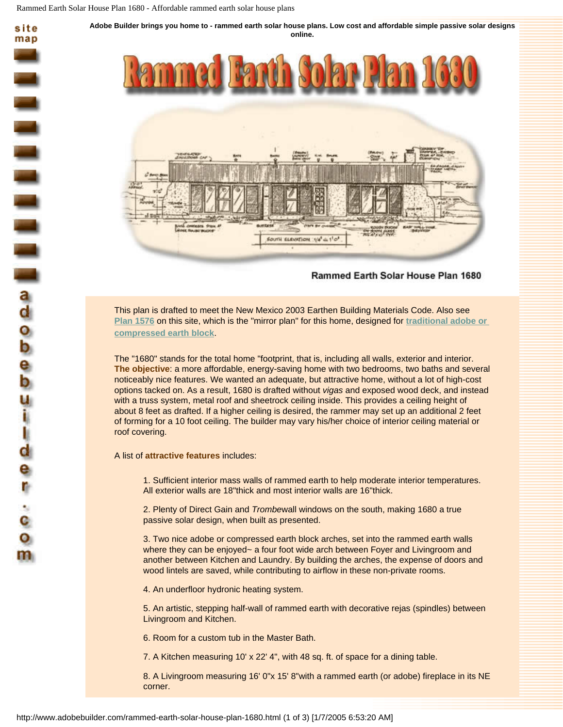

## Rammed Earth Solar House Plan 1680

This plan is drafted to meet the New Mexico 2003 Earthen Building Materials Code. Also see **[Plan 1576](http://www.adobebuilder.com/solar-adobe-house-plan-1576.html)** on this site, which is the "mirror plan" for this home, designed for **[traditional adobe or](http://www.adobebuilder.com/solar-adobe-house-plan-1576.html)  [compressed earth block](http://www.adobebuilder.com/solar-adobe-house-plan-1576.html)**.

The "1680" stands for the total home "footprint, that is, including all walls, exterior and interior. **The objective**: a more affordable, energy-saving home with two bedrooms, two baths and several noticeably nice features. We wanted an adequate, but attractive home, without a lot of high-cost options tacked on. As a result, 1680 is drafted without *vigas* and exposed wood deck, and instead with a truss system, metal roof and sheetrock ceiling inside. This provides a ceiling height of about 8 feet as drafted. If a higher ceiling is desired, the rammer may set up an additional 2 feet of forming for a 10 foot ceiling. The builder may vary his/her choice of interior ceiling material or roof covering.

A list of **attractive features** includes:

m

1. Sufficient interior mass walls of rammed earth to help moderate interior temperatures. All exterior walls are 18"thick and most interior walls are 16"thick.

2. Plenty of Direct Gain and *Trombe*wall windows on the south, making 1680 a true passive solar design, when built as presented.

3. Two nice adobe or compressed earth block arches, set into the rammed earth walls where they can be enjoyed~ a four foot wide arch between Foyer and Livingroom and another between Kitchen and Laundry. By building the arches, the expense of doors and wood lintels are saved, while contributing to airflow in these non-private rooms.

4. An underfloor hydronic heating system.

5. An artistic, stepping half-wall of rammed earth with decorative rejas (spindles) between Livingroom and Kitchen.

6. Room for a custom tub in the Master Bath.

7. A Kitchen measuring 10' x 22' 4", with 48 sq. ft. of space for a dining table.

8. A Livingroom measuring 16' 0"x 15' 8"with a rammed earth (or adobe) fireplace in its NE corner.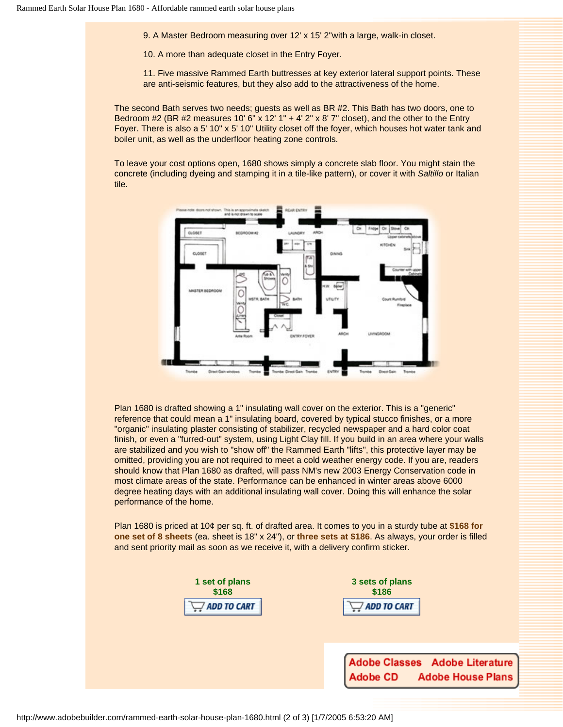9. A Master Bedroom measuring over 12' x 15' 2"with a large, walk-in closet.

10. A more than adequate closet in the Entry Foyer.

11. Five massive Rammed Earth buttresses at key exterior lateral support points. These are anti-seismic features, but they also add to the attractiveness of the home.

The second Bath serves two needs; guests as well as BR #2. This Bath has two doors, one to Bedroom #2 (BR #2 measures 10' 6" x 12' 1" + 4' 2" x 8' 7" closet), and the other to the Entry Foyer. There is also a 5' 10" x 5' 10" Utility closet off the foyer, which houses hot water tank and boiler unit, as well as the underfloor heating zone controls.

To leave your cost options open, 1680 shows simply a concrete slab floor. You might stain the concrete (including dyeing and stamping it in a tile-like pattern), or cover it with *Saltillo* or Italian tile.



Plan 1680 is drafted showing a 1" insulating wall cover on the exterior. This is a "generic" reference that could mean a 1" insulating board, covered by typical stucco finishes, or a more "organic" insulating plaster consisting of stabilizer, recycled newspaper and a hard color coat finish, or even a "furred-out" system, using Light Clay fill. If you build in an area where your walls are stabilized and you wish to "show off" the Rammed Earth "lifts", this protective layer may be omitted, providing you are not required to meet a cold weather energy code. If you are, readers should know that Plan 1680 as drafted, will pass NM's new 2003 Energy Conservation code in most climate areas of the state. Performance can be enhanced in winter areas above 6000 degree heating days with an additional insulating wall cover. Doing this will enhance the solar performance of the home.

Plan 1680 is priced at 10¢ per sq. ft. of drafted area. It comes to you in a sturdy tube at **\$168 for one set of 8 sheets** (ea. sheet is 18" x 24"), or **three sets at \$186**. As always, your order is filled and sent priority mail as soon as we receive it, with a delivery confirm sticker.

| 1 set of plans<br>\$168<br>$\Box$ add to cart | 3 sets of plans<br>\$186<br>ADD TO CART                   |
|-----------------------------------------------|-----------------------------------------------------------|
|                                               | Adobe Classes Adobe Literatu<br>Adobe CD Adobe House Plar |